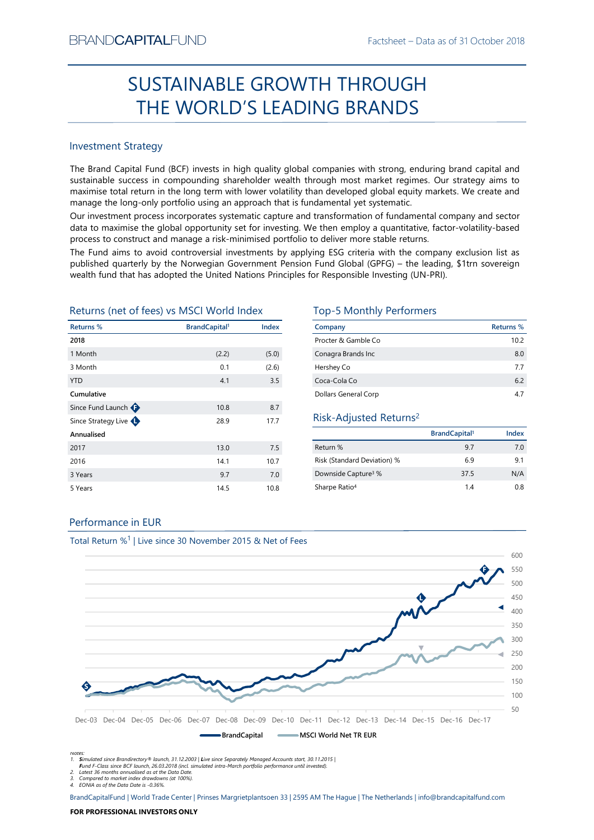# Factsheet – Data as of 31 October 2018<br> **SOUGH** SUSTAINABLE GROWTH THROUGH THE WORLD'S LEADING BRANDS

# Investment Strategy

EXANDCAPITALFUND<br>
Factsheet – Data as of 31 October 2018<br>
THE WORLD'S LEADING BRANDS<br>
THE WORLD'S LEADING BRANDS<br>
Investment Strategy<br>
The Brand Capital Fund (BCF) invests in high quality global companies with strong, endu  $\begin{array}{l} \text{Backheet} - \text{Data as of 31 October 2018} \\ \text{SUSTAINABLE GROWTH THROUGH} \\ \text{THE WORLD'S LEADING BRAMDS} \\ \text{Investment Strategy} \\ \text{The Band Capital Fund (BCF) invests in high quality global companies with strong, ending brand capital and sustainable success in compounding statement would most market regimes. Our strategy aims to maximize total return in the long term with lower volatility than development to the same sample. \\ \text{mmaage the long-only portfolio using an approach that is fundamental yet systematic, it is that to maximize the global opportunity set for investing and the same empty a quantitative factor-volatility-based parameters to construct and manage a risk-minimised portfolio to deliver more stable returns. \\ \end{array}$ BRAND**CAPITAL**FUND<br>
SUSTAINABLE GROWTH THROUGH<br>
THE WORLD'S LEADING BRANDS<br>
Investment strategy<br>
Inte Brand Capital Fund (BCF) invests in high quality global companies with strong, enduring brand capital and<br>
sustainable s BRAND**CAPITAL**FUND<br>
SUSTAINABLE GROWTH THROUGH<br>
THE WORLD'S LEADING BRANDS<br>
Investment Strategy<br>
Interesting and Capital Fund (BCF) invests in high quality global companies with strong, enduring brand capital and<br>
Investme BRANDCAPITALFUND<br>
SUSTAINABLE GROWTH THROUGH<br>
THE WORLD'S LEADING BRANDS<br>
Investment Strategy<br>
The Brand Capital Fund (BCF) invests in high quality global companies with strong, enduring brand capital and<br>
sustainable succ BRANDCAPITALFUND<br>
SUSTAINABLE GROWTH THROUGH<br>
THE WORLD'S LEADING BRANDS<br>
Investment Strategy<br>
Investment Strategy<br>
Investment Strategy<br>
Investment Strategy<br>
Investment Strategy<br>
Investment Strategy<br>
Investment Strategy<br>
I BRANDCAPITALFUND Factsheet – Data as of 31 October 2018<br>
SUSTAINABLE GROWTH THROUGH<br>
THE WORLD'S LEADING BRANDS<br>
Investment Strategy<br>
The Brand Capital Fund (8CF) invests in high quality global companies with strong, endur BFANDCAPITALFUND Facisheet – Data as of 31 October 2018<br>
SUSTAINABLE GROWTH THROUGH<br>
THE WORLD'S LEADING BRANDS<br>
Investment strategy<br>
The Brand Capital Fund (CF) invests in high quality global companies with strong, enduri **PEANDCAPITALFUND**<br> **SUSTAINABLE GROWTH THROUGH**<br> **THE WORLD'S LEADING BRANDS**<br>
Investment Strategy<br>
Interstand Capital Fund (BCF) invests in high quality global companies with strong, enduring brand capital and<br>
sustinabl **EACH STAND CAPITALFUND** Factsheet – Data as of 31 October 2018<br> **SUSTAINABLE GROWTH THROUGH**<br> **THE WORLD'S LEADING BRANDS**<br>
Investment Strategy<br>
The Brand Capital Fund (CCF) invests in high quality global companies with s  $\begin{tabular}{|c|c|c|c|} \hline \multicolumn{1}{c}{\textbf{SUSTAINABLE GROWN} \hline \multicolumn{1}{c}{\textbf{SREANDS}} \\ \hline \multicolumn{1}{c}{\textbf{PHS WORDL}} & \multicolumn{1}{c}{\textbf{SLEADING BRANDS}} \\ \hline \multicolumn{1}{c}{\textbf{PHS and Capit I and GOF} \hline \multicolumn{1}{c}{\textbf{SLEADING BRANDS}} \\ \hline \multicolumn{1}{c}{\textbf{PHS Find GOF} \hline \multicolumn{1}{c}{\textbf{SINC BRANDS}} \\ \hline \multicolumn{1}{c}{\$ Returns (net of fees) vs MSCI World Index Top-5 Monthly Performers

| <b>Investment Strategy</b>                            |                                  |       |                                                                                                                                                                                                                                                                                                                                                                                                                                      |                                  |           |
|-------------------------------------------------------|----------------------------------|-------|--------------------------------------------------------------------------------------------------------------------------------------------------------------------------------------------------------------------------------------------------------------------------------------------------------------------------------------------------------------------------------------------------------------------------------------|----------------------------------|-----------|
|                                                       |                                  |       | The Brand Capital Fund (BCF) invests in high quality global companies with strong, enduring brand capital and<br>sustainable success in compounding shareholder wealth through most market regimes. Our strategy aims to<br>maximise total return in the long term with lower volatility than developed global equity markets. We create and<br>manage the long-only portfolio using an approach that is fundamental yet systematic. |                                  |           |
|                                                       |                                  |       | Our investment process incorporates systematic capture and transformation of fundamental company and sector<br>data to maximise the global opportunity set for investing. We then employ a quantitative, factor-volatility-based<br>process to construct and manage a risk-minimised portfolio to deliver more stable returns.                                                                                                       |                                  |           |
|                                                       |                                  |       | The Fund aims to avoid controversial investments by applying ESG criteria with the company exclusion list as<br>published quarterly by the Norwegian Government Pension Fund Global (GPFG) - the leading, \$1trn sovereign<br>wealth fund that has adopted the United Nations Principles for Responsible Investing (UN-PRI).                                                                                                         |                                  |           |
|                                                       |                                  |       |                                                                                                                                                                                                                                                                                                                                                                                                                                      |                                  |           |
| Returns (net of fees) vs MSCI World Index             |                                  |       | <b>Top-5 Monthly Performers</b>                                                                                                                                                                                                                                                                                                                                                                                                      |                                  |           |
|                                                       | <b>BrandCapital</b> <sup>1</sup> | Index | Company                                                                                                                                                                                                                                                                                                                                                                                                                              |                                  | Returns % |
|                                                       |                                  |       | Procter & Gamble Co                                                                                                                                                                                                                                                                                                                                                                                                                  |                                  | 10.2      |
|                                                       | (2.2)                            | (5.0) | Conagra Brands Inc                                                                                                                                                                                                                                                                                                                                                                                                                   |                                  | 8.0       |
|                                                       | 0.1                              | (2.6) | Hershey Co                                                                                                                                                                                                                                                                                                                                                                                                                           |                                  | 7.7       |
| Returns %<br>2018<br>1 Month<br>3 Month<br><b>YTD</b> | 4.1                              | 3.5   | Coca-Cola Co                                                                                                                                                                                                                                                                                                                                                                                                                         |                                  | 6.2       |
| Cumulative                                            |                                  |       | Dollars General Corp                                                                                                                                                                                                                                                                                                                                                                                                                 |                                  | 4.7       |
| Since Fund Launch $\bigoplus$                         | 10.8                             | 8.7   |                                                                                                                                                                                                                                                                                                                                                                                                                                      |                                  |           |
| Since Strategy Live                                   | 28.9                             | 17.7  | Risk-Adjusted Returns <sup>2</sup>                                                                                                                                                                                                                                                                                                                                                                                                   |                                  |           |
| Annualised                                            |                                  |       |                                                                                                                                                                                                                                                                                                                                                                                                                                      | <b>BrandCapital</b> <sup>1</sup> | Index     |
| 2017                                                  | 13.0                             | 7.5   | Return %                                                                                                                                                                                                                                                                                                                                                                                                                             | 9.7                              | 7.0       |
|                                                       | 14.1                             | 10.7  | Risk (Standard Deviation) %                                                                                                                                                                                                                                                                                                                                                                                                          | 6.9                              | 9.1       |
|                                                       | 9.7                              | 7.0   | Downside Capture <sup>3</sup> %                                                                                                                                                                                                                                                                                                                                                                                                      | 37.5                             | N/A       |
| 2016<br>3 Years<br>5 Years                            | 14.5                             | 10.8  | Sharpe Ratio <sup>4</sup>                                                                                                                                                                                                                                                                                                                                                                                                            | 1.4                              |           |
|                                                       |                                  |       |                                                                                                                                                                                                                                                                                                                                                                                                                                      |                                  | 0.8       |

| TH THROUGH                                                                               |                                  |                  |
|------------------------------------------------------------------------------------------|----------------------------------|------------------|
|                                                                                          |                                  |                  |
| <b>NG BRANDS</b>                                                                         |                                  |                  |
|                                                                                          |                                  |                  |
|                                                                                          |                                  |                  |
|                                                                                          |                                  |                  |
| companies with strong, enduring brand capital and                                        |                                  |                  |
| rrough most market regimes. Our strategy aims to                                         |                                  |                  |
| an developed global equity markets. We create and                                        |                                  |                  |
| ndamental yet systematic.                                                                |                                  |                  |
| transformation of fundamental company and sector                                         |                                  |                  |
| e then employ a quantitative, factor-volatility-based<br>to deliver more stable returns. |                                  |                  |
| ving ESG criteria with the company exclusion list as                                     |                                  |                  |
|                                                                                          |                                  |                  |
|                                                                                          |                                  |                  |
|                                                                                          |                                  |                  |
|                                                                                          |                                  |                  |
| Fund Global (GPFG) - the leading, \$1trn sovereign<br>or Responsible Investing (UN-PRI). |                                  |                  |
| <b>Top-5 Monthly Performers</b>                                                          |                                  |                  |
| Company                                                                                  |                                  | <b>Returns %</b> |
| Procter & Gamble Co                                                                      |                                  | 10.2             |
| Conagra Brands Inc                                                                       |                                  | 8.0              |
| Hershey Co                                                                               |                                  | 7.7              |
| Coca-Cola Co                                                                             |                                  | 6.2              |
| Dollars General Corp                                                                     |                                  | 4.7              |
|                                                                                          |                                  |                  |
| Risk-Adjusted Returns <sup>2</sup>                                                       |                                  |                  |
|                                                                                          | <b>BrandCapital</b> <sup>1</sup> | Index            |
| Return %                                                                                 | 9.7                              | 7.0              |
| Risk (Standard Deviation) %                                                              | 6.9                              | 9.1              |
| Downside Capture <sup>3</sup> %                                                          | 37.5                             | N/A              |
| Sharpe Ratio <sup>4</sup>                                                                | 1.4                              | 0.8              |

# Risk-Adjusted Returns2

|                                 | BrandCapital <sup>1</sup> | Index |
|---------------------------------|---------------------------|-------|
| Return %                        | 9.7                       | 7.0   |
| Risk (Standard Deviation) %     | 6.9                       | 9.1   |
| Downside Capture <sup>3</sup> % | 37.5                      | N/A   |
| Sharpe Ratio <sup>4</sup>       | 1.4                       | 0.8   |

# Performance in EUR



Total Return %<sup>1</sup> | Live since 30 November 2015 & Net of Fees

Notes:<br>1. **S**imulated since Brandirectory® launch, 31.12.2003 | Live since Separately Managed Accounts start, 30.11.2015 |

Fund F-Class since BCF launch, 26.03.2018 (incl. simulated intra-March portfolio performance until invested).

2. Latest 36 months annualised as at the Data Date. 3. Compared to market index drawdowns (at 100%). 4. EONIA as of the Data Date is -0.36%.